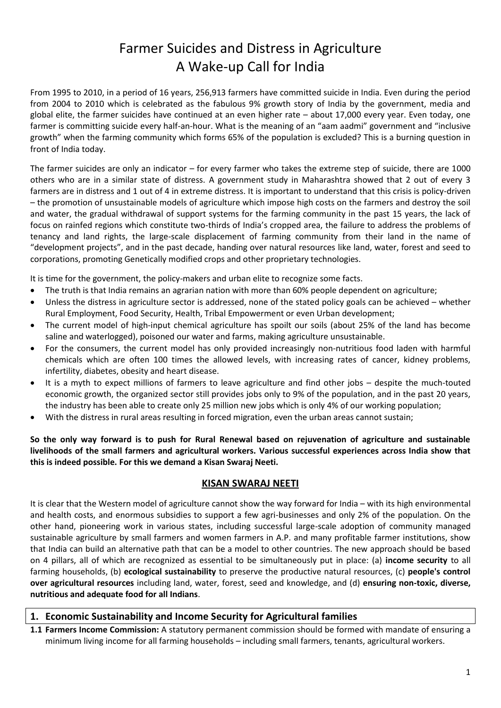# Farmer Suicides and Distress in Agriculture A Wake-up Call for India

From 1995 to 2010, in a period of 16 years, 256,913 farmers have committed suicide in India. Even during the period from 2004 to 2010 which is celebrated as the fabulous 9% growth story of India by the government, media and global elite, the farmer suicides have continued at an even higher rate – about 17,000 every year. Even today, one farmer is committing suicide every half-an-hour. What is the meaning of an "aam aadmi" government and "inclusive growth" when the farming community which forms 65% of the population is excluded? This is a burning question in front of India today.

The farmer suicides are only an indicator – for every farmer who takes the extreme step of suicide, there are 1000 others who are in a similar state of distress. A government study in Maharashtra showed that 2 out of every 3 farmers are in distress and 1 out of 4 in extreme distress. It is important to understand that this crisis is policy-driven – the promotion of unsustainable models of agriculture which impose high costs on the farmers and destroy the soil and water, the gradual withdrawal of support systems for the farming community in the past 15 years, the lack of focus on rainfed regions which constitute two-thirds of India's cropped area, the failure to address the problems of tenancy and land rights, the large-scale displacement of farming community from their land in the name of "development projects", and in the past decade, handing over natural resources like land, water, forest and seed to corporations, promoting Genetically modified crops and other proprietary technologies.

It is time for the government, the policy-makers and urban elite to recognize some facts.

- The truth is that India remains an agrarian nation with more than 60% people dependent on agriculture;
- Unless the distress in agriculture sector is addressed, none of the stated policy goals can be achieved whether Rural Employment, Food Security, Health, Tribal Empowerment or even Urban development;
- The current model of high-input chemical agriculture has spoilt our soils (about 25% of the land has become saline and waterlogged), poisoned our water and farms, making agriculture unsustainable.
- For the consumers, the current model has only provided increasingly non-nutritious food laden with harmful chemicals which are often 100 times the allowed levels, with increasing rates of cancer, kidney problems, infertility, diabetes, obesity and heart disease.
- It is a myth to expect millions of farmers to leave agriculture and find other jobs despite the much-touted economic growth, the organized sector still provides jobs only to 9% of the population, and in the past 20 years, the industry has been able to create only 25 million new jobs which is only 4% of our working population;
- With the distress in rural areas resulting in forced migration, even the urban areas cannot sustain;

**So the only way forward is to push for Rural Renewal based on rejuvenation of agriculture and sustainable livelihoods of the small farmers and agricultural workers. Various successful experiences across India show that this is indeed possible. For this we demand a Kisan Swaraj Neeti.**

### **KISAN SWARAJ NEETI**

It is clear that the Western model of agriculture cannot show the way forward for India – with its high environmental and health costs, and enormous subsidies to support a few agri-businesses and only 2% of the population. On the other hand, pioneering work in various states, including successful large-scale adoption of community managed sustainable agriculture by small farmers and women farmers in A.P. and many profitable farmer institutions, show that India can build an alternative path that can be a model to other countries. The new approach should be based on 4 pillars, all of which are recognized as essential to be simultaneously put in place: (a) **income security** to all farming households, (b) **ecological sustainability** to preserve the productive natural resources, (c) **people's control over agricultural resources** including land, water, forest, seed and knowledge, and (d) **ensuring non-toxic, diverse, nutritious and adequate food for all Indians**.

#### **1. Economic Sustainability and Income Security for Agricultural families**

**1.1 Farmers Income Commission:** A statutory permanent commission should be formed with mandate of ensuring a minimum living income for all farming households – including small farmers, tenants, agricultural workers.